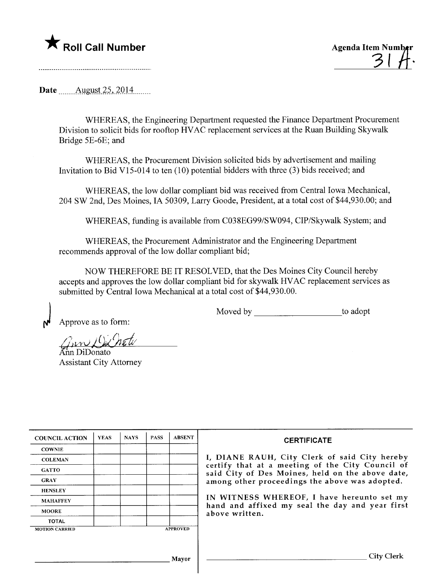## \* Roll Call Number Agenda Item Number



Date *\_\_\_\_\_* August 25, 2014

WHEREAS, the Engineering Department requested the Finance Department Procurement Division to solicit bids for rooftop HV AC replacement services at the Ruan Building Skywalk Bridge 5E-6E; and

WHEREAS, the Procurement Division solicited bids by advertisement and mailing Invitation to Bid V15-014 to ten (10) potential bidders with three (3) bids received; and

WHEREAS, the low dollar compliant bid was received from Central Iowa Mechanical, 204 SW 2nd, Des Moines, IA 50309, Larry Goode, President, at a total cost of \$44,930.00; and

WHEREAS, fuding is available from C038EG99/SW094, CIP/Skywalk System; and

WHEREAS, the Procurement Administrator and the Engineering Department recommends approval of the low dollar compliant bid;

NOW THEREFORE BE IT RESOLVED, that the Des Moines City Council hereby accepts and approves the low dollar compliant bid for skywalk HV AC replacement services as submitted by Central Iowa Mechanical at a total cost of \$44,930.00.

Moved by to adopt

Approve as to form:

 $\sum_{k=1}^N$ 

Ann DiDonato Assistant City Attorney

| <b>COUNCIL ACTION</b> | <b>YEAS</b> | <b>NAYS</b> | <b>PASS</b> | <b>ABSENT</b>   | <b>CERTIFICATE</b>                                                                                   |
|-----------------------|-------------|-------------|-------------|-----------------|------------------------------------------------------------------------------------------------------|
| <b>COWNIE</b>         |             |             |             |                 |                                                                                                      |
| <b>COLEMAN</b>        |             |             |             |                 | I, DIANE RAUH, City Clerk of said City hereby                                                        |
| <b>GATTO</b>          |             |             |             |                 | certify that at a meeting of the City Council of<br>said City of Des Moines, held on the above date, |
| <b>GRAY</b>           |             |             |             |                 | among other proceedings the above was adopted.                                                       |
| <b>HENSLEY</b>        |             |             |             |                 |                                                                                                      |
| <b>MAHAFFEY</b>       |             |             |             |                 | IN WITNESS WHEREOF, I have hereunto set my<br>hand and affixed my seal the day and year first        |
| <b>MOORE</b>          |             |             |             |                 | above written.                                                                                       |
| <b>TOTAL</b>          |             |             |             |                 |                                                                                                      |
| <b>MOTION CARRIED</b> |             |             |             | <b>APPROVED</b> |                                                                                                      |
|                       |             |             |             |                 |                                                                                                      |
|                       |             |             |             | Mayor           | <b>City Clerk</b>                                                                                    |